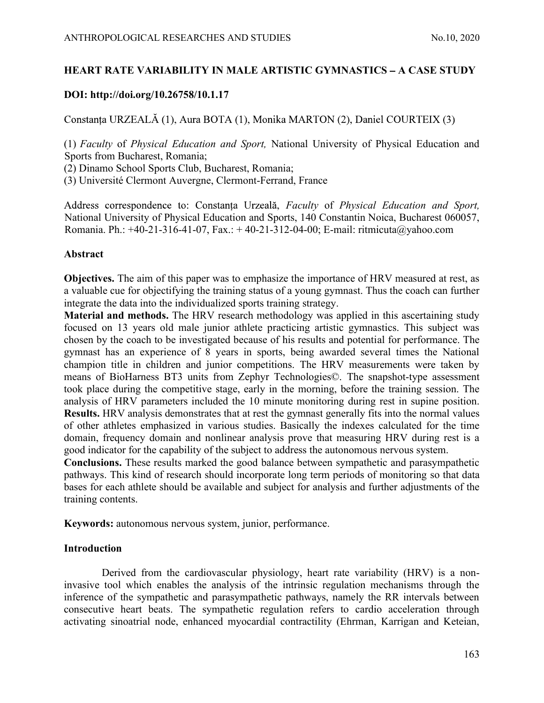# ANTHROPOLOGICAL RESEARCHES AND STUDIES<br>
HEART RATE VARIABILITY IN MALE ARTISTIC GYMNASTICS – A CASE STUDY<br>
DOI: http://doi.org/10.26758/10.1.17 HEART RATE VARIABILITY IN MALE ARTISTIC GYMNASTICS – A CASE STUDY

# DOI: http://doi.org/10.26758/10.1.17

Constanța URZEALĂ (1), Aura BOTA (1), Monika MARTON (2), Daniel COURTEIX (3)

(1) Faculty of Physical Education and Sport, National University of Physical Education and Sports from Bucharest, Romania;

(2) Dinamo School Sports Club, Bucharest, Romania;

(3) Université Clermont Auvergne, Clermont-Ferrand, France

Address correspondence to: Constanța Urzeală, Faculty of Physical Education and Sport, National University of Physical Education and Sports, 140 Constantin Noica, Bucharest 060057, Romania. Ph.: +40-21-316-41-07, Fax.: + 40-21-312-04-00; E-mail: ritmicuta@yahoo.com

# Abstract

Objectives. The aim of this paper was to emphasize the importance of HRV measured at rest, as a valuable cue for objectifying the training status of a young gymnast. Thus the coach can further integrate the data into the individualized sports training strategy.

Material and methods. The HRV research methodology was applied in this ascertaining study focused on 13 years old male junior athlete practicing artistic gymnastics. This subject was chosen by the coach to be investigated because of his results and potential for performance. The gymnast has an experience of 8 years in sports, being awarded several times the National champion title in children and junior competitions. The HRV measurements were taken by means of BioHarness BT3 units from Zephyr Technologies©. The snapshot-type assessment took place during the competitive stage, early in the morning, before the training session. The analysis of HRV parameters included the 10 minute monitoring during rest in supine position. Results. HRV analysis demonstrates that at rest the gymnast generally fits into the normal values of other athletes emphasized in various studies. Basically the indexes calculated for the time domain, frequency domain and nonlinear analysis prove that measuring HRV during rest is a good indicator for the capability of the subject to address the autonomous nervous system.

Conclusions. These results marked the good balance between sympathetic and parasympathetic pathways. This kind of research should incorporate long term periods of monitoring so that data bases for each athlete should be available and subject for analysis and further adjustments of the training contents.

Keywords: autonomous nervous system, junior, performance.

# Introduction

Derived from the cardiovascular physiology, heart rate variability (HRV) is a noninvasive tool which enables the analysis of the intrinsic regulation mechanisms through the inference of the sympathetic and parasympathetic pathways, namely the RR intervals between consecutive heart beats. The sympathetic regulation refers to cardio acceleration through activating sinoatrial node, enhanced myocardial contractility (Ehrman, Karrigan and Keteian,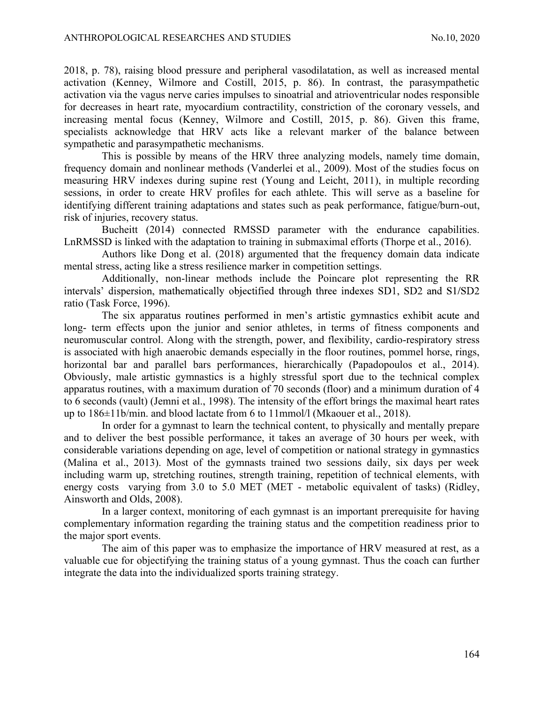ANTHROPOLOGICAL RESEARCHES AND STUDIES<br>
2018, p. 78), raising blood pressure and peripheral vasodilatation, as well as increased mental<br>
activation (Kenney, Wilmore and Costill, 2015, p. 86). In contrast, the parasympathet 2018, p. 78), raising blood pressure and peripheral vasodilatation, as well as increased mental activation (Kenney, Wilmore and Costill, 2015, p. 86). In contrast, the parasympathetic activation via the vagus nerve caries impulses to sinoatrial and atrioventricular nodes responsible for decreases in heart rate, myocardium contractility, constriction of the coronary vessels, and increasing mental focus (Kenney, Wilmore and Costill, 2015, p. 86). Given this frame, specialists acknowledge that HRV acts like a relevant marker of the balance between sympathetic and parasympathetic mechanisms.

This is possible by means of the HRV three analyzing models, namely time domain, frequency domain and nonlinear methods (Vanderlei et al., 2009). Most of the studies focus on measuring HRV indexes during supine rest (Young and Leicht, 2011), in multiple recording sessions, in order to create HRV profiles for each athlete. This will serve as a baseline for identifying different training adaptations and states such as peak performance, fatigue/burn-out, risk of injuries, recovery status.

Bucheitt (2014) connected RMSSD parameter with the endurance capabilities. LnRMSSD is linked with the adaptation to training in submaximal efforts (Thorpe et al., 2016).

Authors like Dong et al. (2018) argumented that the frequency domain data indicate mental stress, acting like a stress resilience marker in competition settings.

Additionally, non-linear methods include the Poincare plot representing the RR intervals' dispersion, mathematically objectified through three indexes SD1, SD2 and S1/SD2 ratio (Task Force, 1996).

The six apparatus routines performed in men's artistic gymnastics exhibit acute and long- term effects upon the junior and senior athletes, in terms of fitness components and neuromuscular control. Along with the strength, power, and flexibility, cardio-respiratory stress is associated with high anaerobic demands especially in the floor routines, pommel horse, rings, horizontal bar and parallel bars performances, hierarchically (Papadopoulos et al., 2014). Obviously, male artistic gymnastics is a highly stressful sport due to the technical complex apparatus routines, with a maximum duration of 70 seconds (floor) and a minimum duration of 4 to 6 seconds (vault) (Jemni et al., 1998). The intensity of the effort brings the maximal heart rates up to 186±11b/min. and blood lactate from 6 to 11mmol/l (Mkaouer et al., 2018).

In order for a gymnast to learn the technical content, to physically and mentally prepare and to deliver the best possible performance, it takes an average of 30 hours per week, with considerable variations depending on age, level of competition or national strategy in gymnastics (Malina et al., 2013). Most of the gymnasts trained two sessions daily, six days per week including warm up, stretching routines, strength training, repetition of technical elements, with energy costs varying from 3.0 to 5.0 MET (MET - metabolic equivalent of tasks) (Ridley, Ainsworth and Olds, 2008).

In a larger context, monitoring of each gymnast is an important prerequisite for having complementary information regarding the training status and the competition readiness prior to the major sport events.

The aim of this paper was to emphasize the importance of HRV measured at rest, as a valuable cue for objectifying the training status of a young gymnast. Thus the coach can further integrate the data into the individualized sports training strategy.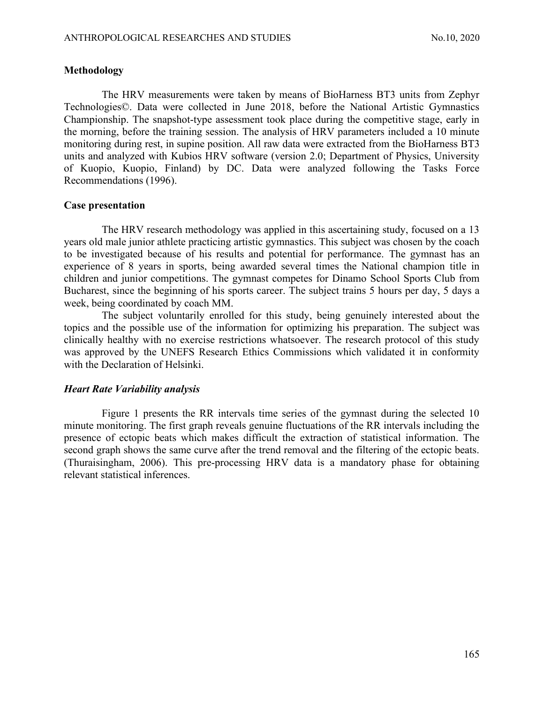#### Methodology

ANTHROPOLOGICAL RESEARCHES AND STUDIES<br>
Methodology<br>
The HRV measurements were taken by means of BioHarness BT3 units from Zenhvr The HRV measurements were taken by means of BioHarness BT3 units from Zephyr Technologies©. Data were collected in June 2018, before the National Artistic Gymnastics Championship. The snapshot-type assessment took place during the competitive stage, early in the morning, before the training session. The analysis of HRV parameters included a 10 minute monitoring during rest, in supine position. All raw data were extracted from the BioHarness BT3 units and analyzed with Kubios HRV software (version 2.0; Department of Physics, University of Kuopio, Kuopio, Finland) by DC. Data were analyzed following the Tasks Force Recommendations (1996).

# Case presentation

The HRV research methodology was applied in this ascertaining study, focused on a 13 years old male junior athlete practicing artistic gymnastics. This subject was chosen by the coach to be investigated because of his results and potential for performance. The gymnast has an experience of 8 years in sports, being awarded several times the National champion title in children and junior competitions. The gymnast competes for Dinamo School Sports Club from Bucharest, since the beginning of his sports career. The subject trains 5 hours per day, 5 days a week, being coordinated by coach MM.

The subject voluntarily enrolled for this study, being genuinely interested about the topics and the possible use of the information for optimizing his preparation. The subject was clinically healthy with no exercise restrictions whatsoever. The research protocol of this study was approved by the UNEFS Research Ethics Commissions which validated it in conformity with the Declaration of Helsinki.

#### Heart Rate Variability analysis

Figure 1 presents the RR intervals time series of the gymnast during the selected 10 minute monitoring. The first graph reveals genuine fluctuations of the RR intervals including the presence of ectopic beats which makes difficult the extraction of statistical information. The second graph shows the same curve after the trend removal and the filtering of the ectopic beats. (Thuraisingham, 2006). This pre-processing HRV data is a mandatory phase for obtaining relevant statistical inferences.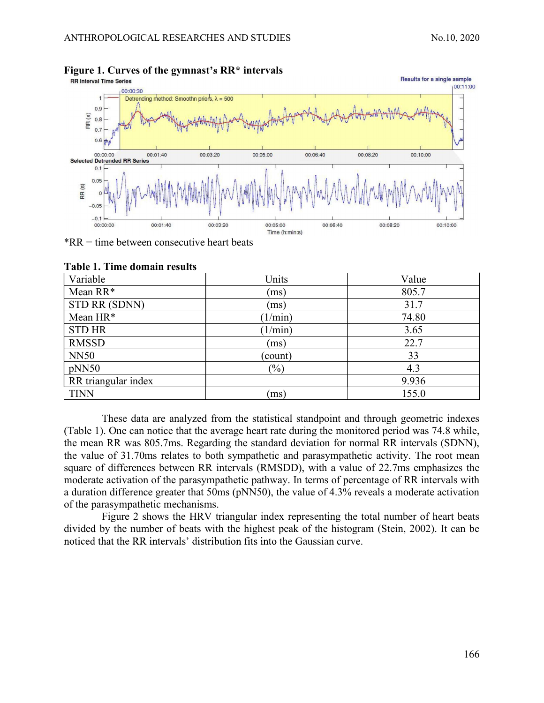

# Figure 1. Curves of the gymnast's  $RR*$  intervals<br>RR Interval Time Series

\*RR = time between consecutive heart beats

| Variable            | Units   | Value |
|---------------------|---------|-------|
| Mean RR*            | (ms)    | 805.7 |
| STD RR (SDNN)       | (ms)    | 31.7  |
| Mean HR*            | 1/min)  | 74.80 |
| <b>STD HR</b>       | 1/min)  | 3.65  |
| <b>RMSSD</b>        | (ms)    | 22.7  |
| <b>NN50</b>         | (count) | 33    |
| pNN50               | $(\%)$  | 4.3   |
| RR triangular index |         | 9.936 |
| <b>TINN</b>         | (ms)    | 155.0 |

#### Table 1. Time domain results

These data are analyzed from the statistical standpoint and through geometric indexes (Table 1). One can notice that the average heart rate during the monitored period was 74.8 while, the mean RR was 805.7ms. Regarding the standard deviation for normal RR intervals (SDNN), the value of 31.70ms relates to both sympathetic and parasympathetic activity. The root mean square of differences between RR intervals (RMSDD), with a value of 22.7ms emphasizes the moderate activation of the parasympathetic pathway. In terms of percentage of RR intervals with a duration difference greater that 50ms (pNN50), the value of 4.3% reveals a moderate activation of the parasympathetic mechanisms.

Figure 2 shows the HRV triangular index representing the total number of heart beats divided by the number of beats with the highest peak of the histogram (Stein, 2002). It can be noticed that the RR intervals' distribution fits into the Gaussian curve.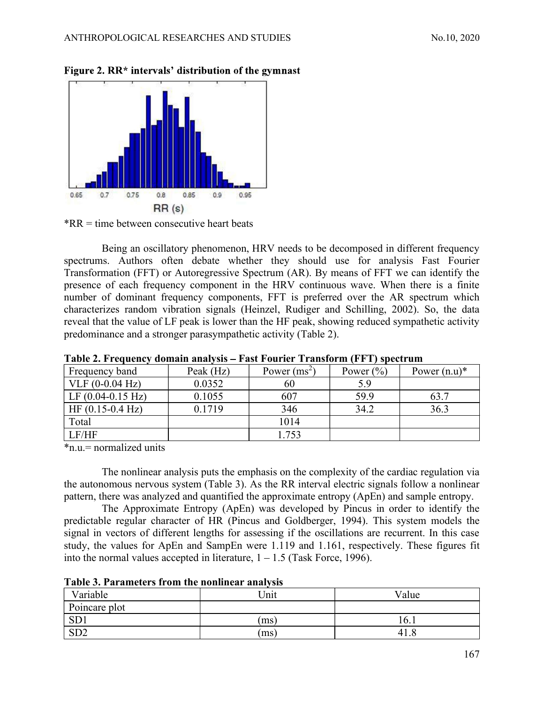



Being an oscillatory phenomenon, HRV needs to be decomposed in different frequency spectrums. Authors often debate whether they should use for analysis Fast Fourier Transformation (FFT) or Autoregressive Spectrum (AR). By means of FFT we can identify the presence of each frequency component in the HRV continuous wave. When there is a finite number of dominant frequency components, FFT is preferred over the AR spectrum which characterizes random vibration signals (Heinzel, Rudiger and Schilling, 2002). So, the data reveal that the value of LF peak is lower than the HF peak, showing reduced sympathetic activity predominance and a stronger parasympathetic activity (Table 2).

|                             |           |                | .             |                 |
|-----------------------------|-----------|----------------|---------------|-----------------|
| Frequency band              | Peak (Hz) | Power $(ms^2)$ | Power $(\% )$ | Power $(n.u)^*$ |
| $VLF (0-0.04 Hz)$           | 0.0352    | 60             | 5.9           |                 |
| LF $(0.04-0.15 \text{ Hz})$ | 0.1055    | 607            | 59.9          | 63.7            |
| $HF(0.15-0.4 Hz)$           | 0.1719    | 346            | 34.2          | 36.3            |
| Total                       |           | 1014           |               |                 |
| LF/HF                       |           | 1.753          |               |                 |

Table 2. Frequency domain analysis Fast Fourier Transform (FFT) spectrum

\*n.u.= normalized units

The nonlinear analysis puts the emphasis on the complexity of the cardiac regulation via the autonomous nervous system (Table 3). As the RR interval electric signals follow a nonlinear pattern, there was analyzed and quantified the approximate entropy (ApEn) and sample entropy.

The Approximate Entropy (ApEn) was developed by Pincus in order to identify the predictable regular character of HR (Pincus and Goldberger, 1994). This system models the signal in vectors of different lengths for assessing if the oscillations are recurrent. In this case study, the values for ApEn and SampEn were 1.119 and 1.161, respectively. These figures fit into the normal values accepted in literature,  $1 - 1.5$  (Task Force, 1996).

| Variable      | Unit | Value |
|---------------|------|-------|
| Poincare plot |      |       |
| SD1           | (ms) | 16.1  |
| CD2<br>N∪∠    | (ms) | 41.8  |

Table 3. Parameters from the nonlinear analysis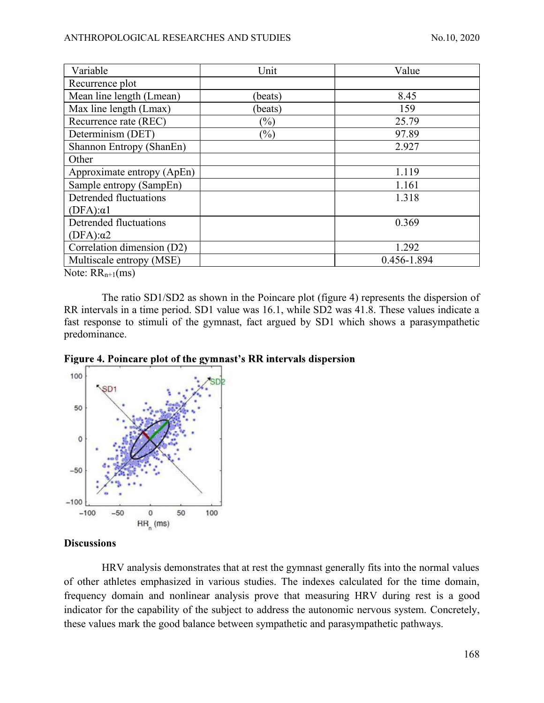| ANTHROPOLOGICAL RESEARCHES AND STUDIES                   |                    | No.10, 2020          |
|----------------------------------------------------------|--------------------|----------------------|
|                                                          |                    |                      |
|                                                          |                    |                      |
|                                                          |                    |                      |
| Variable                                                 | Unit               | Value                |
| Recurrence plot                                          |                    |                      |
| Mean line length (Lmean)<br>Max line length (Lmax)       | (beats)<br>(beats) | 8.45<br>159          |
| Recurrence rate (REC)                                    | $(\%)$             | 25.79                |
|                                                          |                    |                      |
| Determinism (DET)                                        | $(\%)$             | 97.89<br>2.927       |
| Shannon Entropy (ShanEn)<br>Other                        |                    |                      |
|                                                          |                    | 1.119                |
| Approximate entropy (ApEn)                               |                    |                      |
| Sample entropy (SampEn)<br><b>Detrended fluctuations</b> |                    | 1.161                |
|                                                          |                    | 1.318                |
| $(DFA):\alpha 1$                                         |                    |                      |
| Detrended fluctuations                                   |                    | 0.369                |
| $(DFA):\alpha2$                                          |                    |                      |
| Correlation dimension (D2)<br>Multiscale entropy (MSE)   |                    | 1.292<br>0.456-1.894 |

Note:  $RR_{n+1}(ms)$ 

The ratio SD1/SD2 as shown in the Poincare plot (figure 4) represents the dispersion of RR intervals in a time period. SD1 value was 16.1, while SD2 was 41.8. These values indicate a fast response to stimuli of the gymnast, fact argued by SD1 which shows a parasympathetic predominance.

Figure 4. Poincare plot of the gymnast's RR intervals dispersion



#### **Discussions**

HRV analysis demonstrates that at rest the gymnast generally fits into the normal values of other athletes emphasized in various studies. The indexes calculated for the time domain, frequency domain and nonlinear analysis prove that measuring HRV during rest is a good indicator for the capability of the subject to address the autonomic nervous system. Concretely, these values mark the good balance between sympathetic and parasympathetic pathways.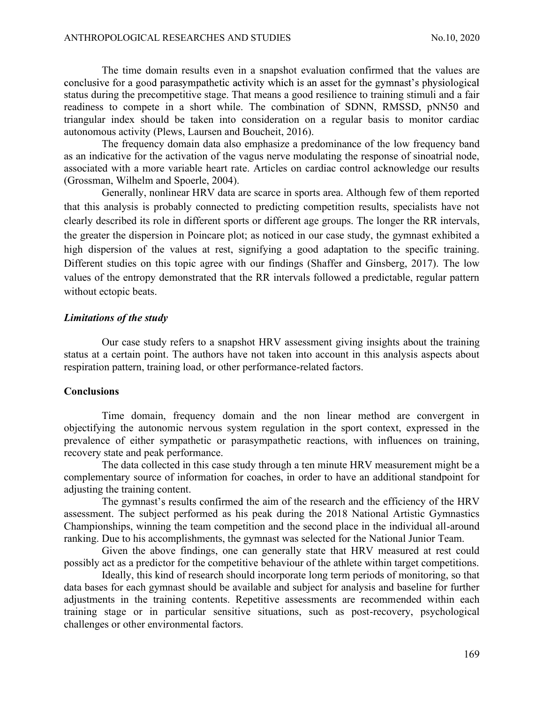ANTHROPOLOGICAL RESEARCHES AND STUDIES<br>
The time domain results even in a snapshot evaluation confirmed that the values are<br>
conclusive for a good parasympathetic activity which is an asset for the gymnast's physiological<br> The time domain results even in a snapshot evaluation confirmed that the values are status during the precompetitive stage. That means a good resilience to training stimuli and a fair readiness to compete in a short while. The combination of SDNN, RMSSD, pNN50 and triangular index should be taken into consideration on a regular basis to monitor cardiac autonomous activity (Plews, Laursen and Boucheit, 2016).

The frequency domain data also emphasize a predominance of the low frequency band as an indicative for the activation of the vagus nerve modulating the response of sinoatrial node, associated with a more variable heart rate. Articles on cardiac control acknowledge our results (Grossman, Wilhelm and Spoerle, 2004).

Generally, nonlinear HRV data are scarce in sports area. Although few of them reported that this analysis is probably connected to predicting competition results, specialists have not clearly described its role in different sports or different age groups. The longer the RR intervals, the greater the dispersion in Poincare plot; as noticed in our case study, the gymnast exhibited a high dispersion of the values at rest, signifying a good adaptation to the specific training. Different studies on this topic agree with our findings (Shaffer and Ginsberg, 2017). The low values of the entropy demonstrated that the RR intervals followed a predictable, regular pattern without ectopic beats.

#### Limitations of the study

Our case study refers to a snapshot HRV assessment giving insights about the training status at a certain point. The authors have not taken into account in this analysis aspects about respiration pattern, training load, or other performance-related factors.

#### **Conclusions**

Time domain, frequency domain and the non linear method are convergent in objectifying the autonomic nervous system regulation in the sport context, expressed in the prevalence of either sympathetic or parasympathetic reactions, with influences on training, recovery state and peak performance.

The data collected in this case study through a ten minute HRV measurement might be a complementary source of information for coaches, in order to have an additional standpoint for adjusting the training content.

The gymnast's results confirmed the aim of the research and the efficiency of the HRV assessment. The subject performed as his peak during the 2018 National Artistic Gymnastics Championships, winning the team competition and the second place in the individual all-around ranking. Due to his accomplishments, the gymnast was selected for the National Junior Team.

Given the above findings, one can generally state that HRV measured at rest could possibly act as a predictor for the competitive behaviour of the athlete within target competitions.

Ideally, this kind of research should incorporate long term periods of monitoring, so that data bases for each gymnast should be available and subject for analysis and baseline for further adjustments in the training contents. Repetitive assessments are recommended within each training stage or in particular sensitive situations, such as post-recovery, psychological challenges or other environmental factors.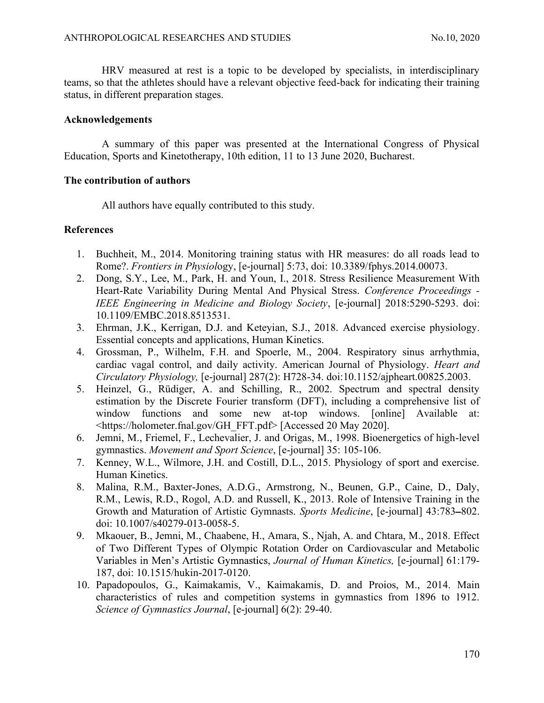ANTHROPOLOGICAL RESEARCHES AND STUDIES<br>
HRV measured at rest is a topic to be developed by specialists, in interdisciplinary<br>
teams, so that the athletes should have a relevant objective feed-back for indicating their trai HRV measured at rest is a topic to be developed by specialists, in interdisciplinary teams, so that the athletes should have a relevant objective feed-back for indicating their training status, in different preparation stages.

# Acknowledgements

A summary of this paper was presented at the International Congress of Physical Education, Sports and Kinetotherapy, 10th edition, 11 to 13 June 2020, Bucharest.

# The contribution of authors

All authors have equally contributed to this study.

# References

- 1. Buchheit, M., 2014. Monitoring training status with HR measures: do all roads lead to Rome?. Frontiers in Physiology, [e-journal] 5:73, doi: 10.3389/fphys.2014.00073.
- 2. Dong, S.Y., Lee, M., Park, H. and Youn, I., 2018. Stress Resilience Measurement With Heart-Rate Variability During Mental And Physical Stress. Conference Proceedings - IEEE Engineering in Medicine and Biology Society, [e-journal] 2018:5290-5293. doi: 10.1109/EMBC.2018.8513531.
- 3. Ehrman, J.K., Kerrigan, D.J. and Keteyian, S.J., 2018. Advanced exercise physiology. Essential concepts and applications, Human Kinetics.
- 4. Grossman, P., Wilhelm, F.H. and Spoerle, M., 2004. Respiratory sinus arrhythmia, cardiac vagal control, and daily activity. American Journal of Physiology. Heart and Circulatory Physiology, [e-journal] 287(2): H728-34. doi:10.1152/ajpheart.00825.2003.
- 5. Heinzel, G., Rüdiger, A. and Schilling, R., 2002. Spectrum and spectral density estimation by the Discrete Fourier transform (DFT), including a comprehensive list of window functions and some new at-top windows. [online] Available at: <https://holometer.fnal.gov/GH\_FFT.pdf> [Accessed 20 May 2020].
- 6. Jemni, M., Friemel, F., Lechevalier, J. and Origas, M., 1998. Bioenergetics of high-level gymnastics. Movement and Sport Science, [e-journal] 35: 105-106.
- 7. Kenney, W.L., Wilmore, J.H. and Costill, D.L., 2015. Physiology of sport and exercise. Human Kinetics.
- 8. Malina, R.M., Baxter-Jones, A.D.G., Armstrong, N., Beunen, G.P., Caine, D., Daly, R.M., Lewis, R.D., Rogol, A.D. and Russell, K., 2013. Role of Intensive Training in the Growth and Maturation of Artistic Gymnasts. Sports Medicine, [e-journal] 43:783-802. doi: 10.1007/s40279-013-0058-5.
- 9. Mkaouer, B., Jemni, M., Chaabene, H., Amara, S., Njah, A. and Chtara, M., 2018. Effect of Two Different Types of Olympic Rotation Order on Cardiovascular and Metabolic Variables in Men's Artistic Gymnastics, Journal of Human Kinetics, [e-journal] 61:179-187, doi: 10.1515/hukin-2017-0120.
- 10. Papadopoulos, G., Kaimakamis, V., Kaimakamis, D. and Proios, M., 2014. Main characteristics of rules and competition systems in gymnastics from 1896 to 1912. Science of Gymnastics Journal, [e-journal] 6(2): 29-40.